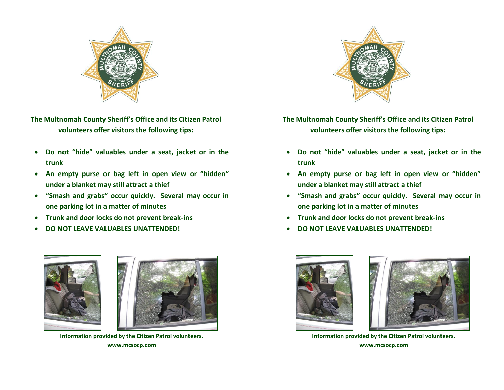

**The Multnomah County Sheriff's Office and its Citizen Patrol volunteers offer visitors the following tips:**

- **Do not "hide" valuables under a seat, jacket or in the trunk**
- **An empty purse or bag left in open view or "hidden" under a blanket may still attract a thief**
- **"Smash and grabs" occur quickly. Several may occur in one parking lot in a matter of minutes**
- **Trunk and door locks do not prevent break-ins**
- **DO NOT LEAVE VALUABLES UNATTENDED!**





**Information provided by the Citizen Patrol volunteers. www.mcsocp.com**



**The Multnomah County Sheriff's Office and its Citizen Patrol volunteers offer visitors the following tips:**

- **Do not "hide" valuables under a seat, jacket or in the trunk**
- **An empty purse or bag left in open view or "hidden" under a blanket may still attract a thief**
- **"Smash and grabs" occur quickly. Several may occur in one parking lot in a matter of minutes**
- **Trunk and door locks do not prevent break-ins**
- **DO NOT LEAVE VALUABLES UNATTENDED!**





**Information provided by the Citizen Patrol volunteers. www.mcsocp.com**